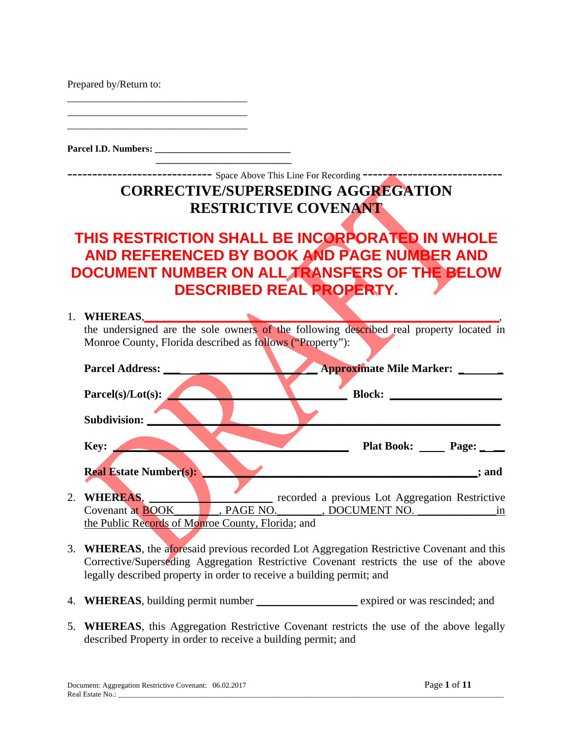Prepared by/Return to:

\_\_\_\_\_\_\_\_\_\_\_\_\_\_\_\_\_\_\_\_\_\_\_\_\_\_\_\_\_\_\_\_\_\_\_ \_\_\_\_\_\_\_\_\_\_\_\_\_\_\_\_\_\_\_\_\_\_\_\_\_\_\_\_\_\_\_\_\_\_\_ \_\_\_\_\_\_\_\_\_\_\_\_\_\_\_\_\_\_\_\_\_\_\_\_\_\_\_\_\_\_\_\_\_\_\_

 **\_\_\_\_\_\_\_\_\_\_\_\_\_\_\_\_\_\_\_\_\_\_\_\_\_\_\_\_\_** 

**Parcel I.D. Numbers: \_\_\_\_\_\_\_\_\_\_\_\_\_\_\_\_\_\_\_\_\_\_\_\_\_\_\_\_\_** 

## ------------ Space Above This Line For Recording -------------------------------**CORRECTIVE/SUPERSEDING AGGREGATION RESTRICTIVE COVENANT**

## **THIS RESTRICTION SHALL BE INCORPORATED IN WHOLE AND REFERENCED BY BOOK AND PAGE NUMBER AND DOCUMENT NUMBER ON ALL TRANSFERS OF THE BELOW DESCRIBED REAL PROPERTY.**

#### 1. **WHEREAS**,**\_\_\_\_\_\_\_\_\_\_\_\_\_\_\_\_\_\_\_\_\_\_\_\_\_\_\_\_\_\_\_\_\_\_\_\_\_\_\_\_\_\_\_\_\_\_\_\_\_\_\_\_\_\_\_\_\_\_\_\_\_\_\_\_\_\_\_\_\_**,

the undersigned are the sole owners of the following described real property located in Monroe County, Florida described as follows ("Property"):



- 3. **WHEREAS**, the aforesaid previous recorded Lot Aggregation Restrictive Covenant and this Corrective/Superseding Aggregation Restrictive Covenant restricts the use of the above legally described property in order to receive a building permit; and
- 4. **WHEREAS**, building permit number expired or was rescinded; and
- 5. **WHEREAS**, this Aggregation Restrictive Covenant restricts the use of the above legally described Property in order to receive a building permit; and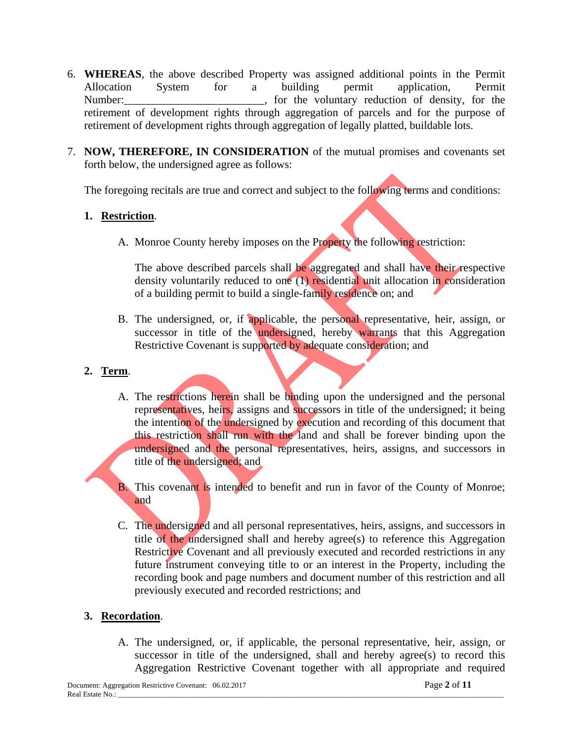- 6. **WHEREAS**, the above described Property was assigned additional points in the Permit Allocation System for a building permit application, Permit Number: the voluntary reduction of density, for the voluntary reduction of density, for the retirement of development rights through aggregation of parcels and for the purpose of retirement of development rights through aggregation of legally platted, buildable lots.
- 7. **NOW, THEREFORE, IN CONSIDERATION** of the mutual promises and covenants set forth below, the undersigned agree as follows:

The foregoing recitals are true and correct and subject to the following terms and conditions:

#### **1. Restriction**.

A. Monroe County hereby imposes on the Property the following restriction:

The above described parcels shall be aggregated and shall have their respective density voluntarily reduced to one (1) residential unit allocation in consideration of a building permit to build a single-family residence on; and

B. The undersigned, or, if applicable, the personal representative, heir, assign, or successor in title of the undersigned, hereby warrants that this Aggregation Restrictive Covenant is supported by adequate consideration; and

#### **2. Term**.

- A. The restrictions herein shall be binding upon the undersigned and the personal representatives, heirs, assigns and successors in title of the undersigned; it being the intention of the undersigned by execution and recording of this document that this restriction shall run with the land and shall be forever binding upon the undersigned and the personal representatives, heirs, assigns, and successors in title of the undersigned; and
- B. This covenant is intended to benefit and run in favor of the County of Monroe; and
- C. The undersigned and all personal representatives, heirs, assigns, and successors in title of the undersigned shall and hereby agree(s) to reference this Aggregation Restrictive Covenant and all previously executed and recorded restrictions in any future instrument conveying title to or an interest in the Property, including the recording book and page numbers and document number of this restriction and all previously executed and recorded restrictions; and

#### **3. Recordation**.

A. The undersigned, or, if applicable, the personal representative, heir, assign, or successor in title of the undersigned, shall and hereby agree(s) to record this Aggregation Restrictive Covenant together with all appropriate and required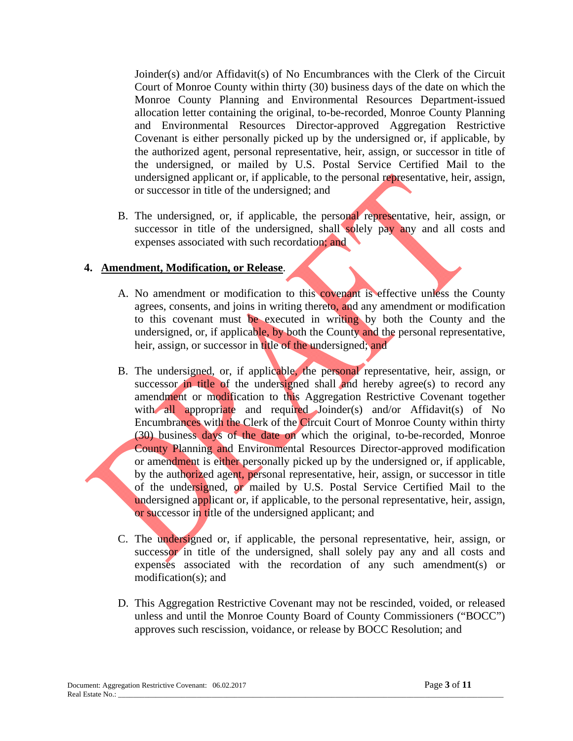Joinder(s) and/or Affidavit(s) of No Encumbrances with the Clerk of the Circuit Court of Monroe County within thirty (30) business days of the date on which the Monroe County Planning and Environmental Resources Department-issued allocation letter containing the original, to-be-recorded, Monroe County Planning and Environmental Resources Director-approved Aggregation Restrictive Covenant is either personally picked up by the undersigned or, if applicable, by the authorized agent, personal representative, heir, assign, or successor in title of the undersigned, or mailed by U.S. Postal Service Certified Mail to the undersigned applicant or, if applicable, to the personal representative, heir, assign, or successor in title of the undersigned; and

B. The undersigned, or, if applicable, the personal representative, heir, assign, or successor in title of the undersigned, shall solely pay any and all costs and expenses associated with such recordation; and

#### **4. Amendment, Modification, or Release**.

- A. No amendment or modification to this covenant is effective unless the County agrees, consents, and joins in writing thereto, and any amendment or modification to this covenant must be executed in writing by both the County and the undersigned, or, if applicable, by both the County and the personal representative, heir, assign, or successor in title of the undersigned; and
- B. The undersigned, or, if applicable, the personal representative, heir, assign, or successor in title of the undersigned shall and hereby agree(s) to record any amendment or modification to this Aggregation Restrictive Covenant together with all appropriate and required Joinder(s) and/or Affidavit(s) of No Encumbrances with the Clerk of the Circuit Court of Monroe County within thirty (30) business days of the date on which the original, to-be-recorded, Monroe County Planning and Environmental Resources Director-approved modification or amendment is either personally picked up by the undersigned or, if applicable, by the authorized agent, personal representative, heir, assign, or successor in title of the undersigned, or mailed by U.S. Postal Service Certified Mail to the undersigned applicant or, if applicable, to the personal representative, heir, assign, or successor in title of the undersigned applicant; and
- C. The undersigned or, if applicable, the personal representative, heir, assign, or successor in title of the undersigned, shall solely pay any and all costs and expenses associated with the recordation of any such amendment(s) or modification(s); and
- D. This Aggregation Restrictive Covenant may not be rescinded, voided, or released unless and until the Monroe County Board of County Commissioners ("BOCC") approves such rescission, voidance, or release by BOCC Resolution; and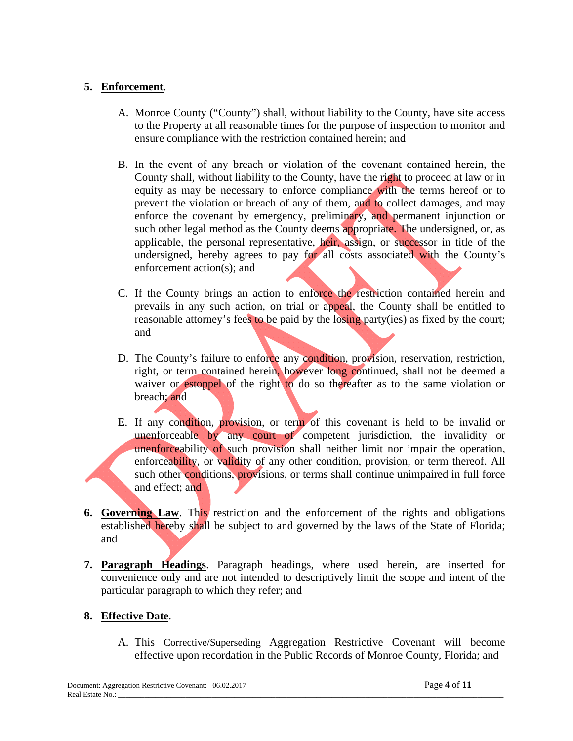#### **5. Enforcement**.

- A. Monroe County ("County") shall, without liability to the County, have site access to the Property at all reasonable times for the purpose of inspection to monitor and ensure compliance with the restriction contained herein; and
- B. In the event of any breach or violation of the covenant contained herein, the County shall, without liability to the County, have the right to proceed at law or in equity as may be necessary to enforce compliance with the terms hereof or to prevent the violation or breach of any of them, and to collect damages, and may enforce the covenant by emergency, preliminary, and permanent injunction or such other legal method as the County deems appropriate. The undersigned, or, as applicable, the personal representative, heir, assign, or successor in title of the undersigned, hereby agrees to pay for all costs associated with the County's enforcement action(s); and
- C. If the County brings an action to enforce the restriction contained herein and prevails in any such action, on trial or appeal, the County shall be entitled to reasonable attorney's fees to be paid by the losing party(ies) as fixed by the court; and
- D. The County's failure to enforce any condition, provision, reservation, restriction, right, or term contained herein, however long continued, shall not be deemed a waiver or estoppel of the right to do so thereafter as to the same violation or breach; and
- E. If any condition, provision, or term of this covenant is held to be invalid or unenforceable by any court of competent jurisdiction, the invalidity or unenforceability of such provision shall neither limit nor impair the operation, enforceability, or validity of any other condition, provision, or term thereof. All such other conditions, provisions, or terms shall continue unimpaired in full force and effect; and
- **6.** Governing Law. This restriction and the enforcement of the rights and obligations established hereby shall be subject to and governed by the laws of the State of Florida; and
- **7. Paragraph Headings**. Paragraph headings, where used herein, are inserted for convenience only and are not intended to descriptively limit the scope and intent of the particular paragraph to which they refer; and

#### **8. Effective Date**.

A. This Corrective/Superseding Aggregation Restrictive Covenant will become effective upon recordation in the Public Records of Monroe County, Florida; and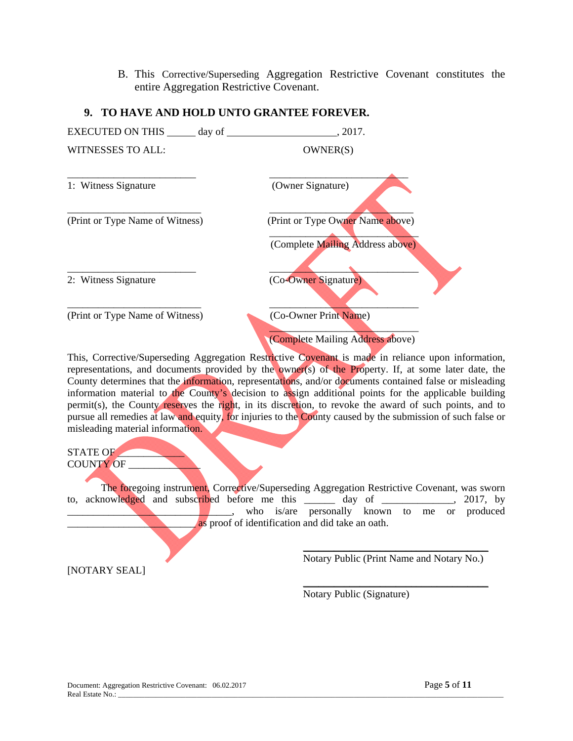B. This Corrective/Superseding Aggregation Restrictive Covenant constitutes the entire Aggregation Restrictive Covenant.



#### **9. TO HAVE AND HOLD UNTO GRANTEE FOREVER.**

This, Corrective/Superseding Aggregation Restrictive Covenant is made in reliance upon information, representations, and documents provided by the owner(s) of the Property. If, at some later date, the County determines that the information, representations, and/or documents contained false or misleading information material to the County's decision to assign additional points for the applicable building permit(s), the County reserves the right, in its discretion, to revoke the award of such points, and to pursue all remedies at law and equity, for injuries to the County caused by the submission of such false or misleading material information.

STATE OF COUNTY OF

 The foregoing instrument, Corrective/Superseding Aggregation Restrictive Covenant, was sworn to, acknowledged and subscribed before me this \_\_\_\_\_\_ day of \_\_\_\_\_\_\_\_\_\_\_\_\_\_, 2017, by \_\_\_\_\_\_, who is/are personally known to me or produced \_\_\_\_\_\_\_\_\_\_\_\_\_\_\_\_\_\_\_\_\_\_\_\_\_ as proof of identification and did take an oath.

 $\overline{\phantom{a}}$ 

 $\overline{\phantom{a}}$  , which is a set of the contract of the contract of the contract of the contract of the contract of the contract of the contract of the contract of the contract of the contract of the contract of the contract

Notary Public (Print Name and Notary No.)

[NOTARY SEAL]

Notary Public (Signature)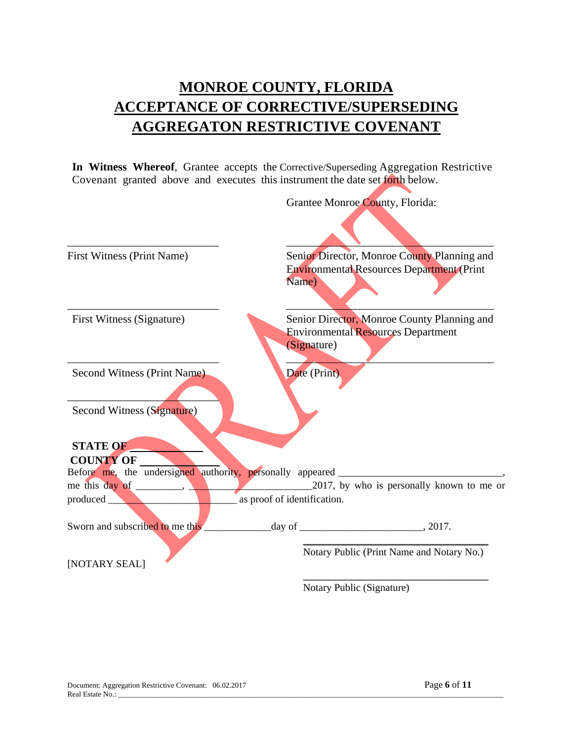# **MONROE COUNTY, FLORIDA ACCEPTANCE OF CORRECTIVE/SUPERSEDING AGGREGATON RESTRICTIVE COVENANT**

**In Witness Whereof**, Grantee accepts the Corrective/Superseding Aggregation Restrictive Covenant granted above and executes this instrument the date set forth below.



Notary Public (Signature)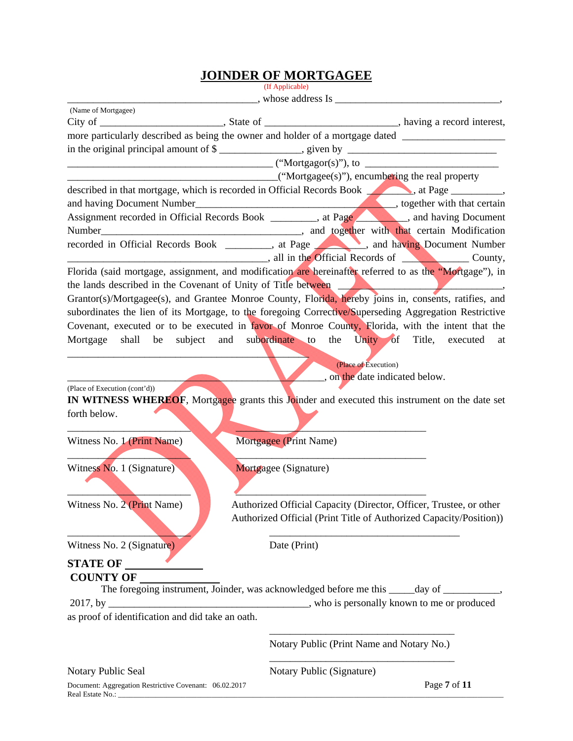#### **JOINDER OF MORTGAGEE**

(If Applicable)

| (Name of Mortgagee)                                                                                                                                                                                                                                                                                                                                                                                                                                                                                                                                 |                                                                                                                                          |              |
|-----------------------------------------------------------------------------------------------------------------------------------------------------------------------------------------------------------------------------------------------------------------------------------------------------------------------------------------------------------------------------------------------------------------------------------------------------------------------------------------------------------------------------------------------------|------------------------------------------------------------------------------------------------------------------------------------------|--------------|
| more particularly described as being the owner and holder of a mortgage dated _____________________                                                                                                                                                                                                                                                                                                                                                                                                                                                 |                                                                                                                                          |              |
|                                                                                                                                                                                                                                                                                                                                                                                                                                                                                                                                                     |                                                                                                                                          |              |
|                                                                                                                                                                                                                                                                                                                                                                                                                                                                                                                                                     |                                                                                                                                          |              |
|                                                                                                                                                                                                                                                                                                                                                                                                                                                                                                                                                     | ("Mortgagee(s)"), encumbering the real property                                                                                          |              |
| described in that mortgage, which is recorded in Official Records Book 1. All Page 1. All Page 1.                                                                                                                                                                                                                                                                                                                                                                                                                                                   |                                                                                                                                          |              |
|                                                                                                                                                                                                                                                                                                                                                                                                                                                                                                                                                     |                                                                                                                                          |              |
| and having Document Number<br>Assignment recorded in Official Records Book ________, at Page ______, and having Document                                                                                                                                                                                                                                                                                                                                                                                                                            |                                                                                                                                          |              |
|                                                                                                                                                                                                                                                                                                                                                                                                                                                                                                                                                     |                                                                                                                                          |              |
| recorded in Official Records Book _________, at Page _______, and having Document Number                                                                                                                                                                                                                                                                                                                                                                                                                                                            |                                                                                                                                          |              |
|                                                                                                                                                                                                                                                                                                                                                                                                                                                                                                                                                     | county, all in the Official Records of County,                                                                                           |              |
| Florida (said mortgage, assignment, and modification are hereinafter referred to as the "Mortgage"), in<br>the lands described in the Covenant of Unity of Title between<br>Grantor(s)/Mortgagee(s), and Grantee Monroe County, Florida, hereby joins in, consents, ratifies, and<br>subordinates the lien of its Mortgage, to the foregoing Corrective/Superseding Aggregation Restrictive<br>Covenant, executed or to be executed in favor of Monroe County, Florida, with the intent that the<br>shall be subject and subordinate to<br>Mortgage | the Unity of Title, executed                                                                                                             | at           |
|                                                                                                                                                                                                                                                                                                                                                                                                                                                                                                                                                     | (Place of Execution)                                                                                                                     |              |
|                                                                                                                                                                                                                                                                                                                                                                                                                                                                                                                                                     | , on the date indicated below.                                                                                                           |              |
| (Place of Execution (cont'd))<br>IN WITNESS WHEREOF, Mortgagee grants this Joinder and executed this instrument on the date set<br>forth below.                                                                                                                                                                                                                                                                                                                                                                                                     |                                                                                                                                          |              |
| Witness No. 1 (Print Name)                                                                                                                                                                                                                                                                                                                                                                                                                                                                                                                          | Mortgagee (Print Name)                                                                                                                   |              |
| Witness No. 1 (Signature)                                                                                                                                                                                                                                                                                                                                                                                                                                                                                                                           | Mortgagee (Signature)                                                                                                                    |              |
| Witness No. 2 (Print Name)                                                                                                                                                                                                                                                                                                                                                                                                                                                                                                                          | Authorized Official Capacity (Director, Officer, Trustee, or other<br>Authorized Official (Print Title of Authorized Capacity/Position)) |              |
| Witness No. 2 (Signature)                                                                                                                                                                                                                                                                                                                                                                                                                                                                                                                           | Date (Print)                                                                                                                             |              |
| <b>STATE OF_</b><br><b>COUNTY OF</b><br>The foregoing instrument, Joinder, was acknowledged before me this _____day of __________,                                                                                                                                                                                                                                                                                                                                                                                                                  |                                                                                                                                          |              |
|                                                                                                                                                                                                                                                                                                                                                                                                                                                                                                                                                     |                                                                                                                                          |              |
| as proof of identification and did take an oath.                                                                                                                                                                                                                                                                                                                                                                                                                                                                                                    |                                                                                                                                          |              |
|                                                                                                                                                                                                                                                                                                                                                                                                                                                                                                                                                     | Notary Public (Print Name and Notary No.)                                                                                                |              |
| Notary Public Seal                                                                                                                                                                                                                                                                                                                                                                                                                                                                                                                                  | Notary Public (Signature)                                                                                                                |              |
| Document: Aggregation Restrictive Covenant: 06.02.2017<br>Real Estate No.:                                                                                                                                                                                                                                                                                                                                                                                                                                                                          |                                                                                                                                          | Page 7 of 11 |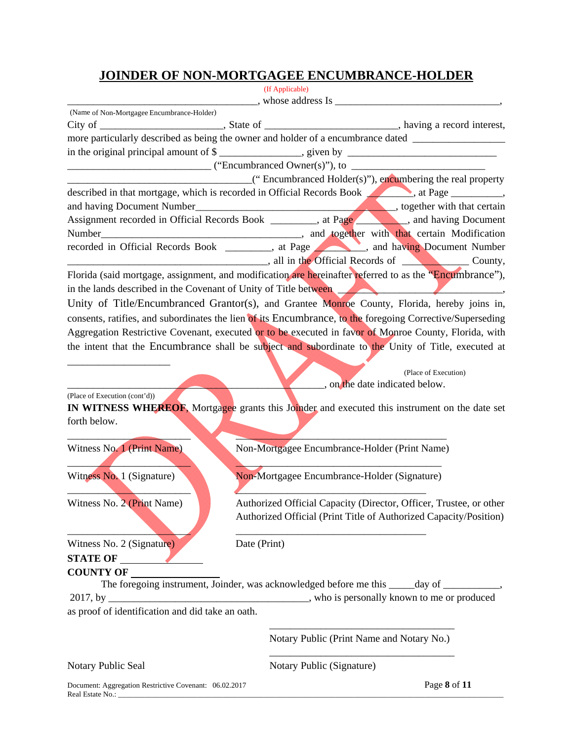## **JOINDER OF NON-MORTGAGEE ENCUMBRANCE-HOLDER**

|                                                        | (If Applicable) |                                                                                                                           |
|--------------------------------------------------------|-----------------|---------------------------------------------------------------------------------------------------------------------------|
|                                                        |                 | $\frac{1}{1}$ , whose address Is $\frac{1}{1}$                                                                            |
| (Name of Non-Mortgagee Encumbrance-Holder)             |                 |                                                                                                                           |
|                                                        |                 |                                                                                                                           |
|                                                        |                 | more particularly described as being the owner and holder of a encumbrance dated __________________                       |
|                                                        |                 |                                                                                                                           |
|                                                        |                 | $\frac{1}{1}$ ("Encumbranced Owner(s)"), to $\frac{1}{1}$                                                                 |
|                                                        |                 | ("Encumbranced Holder(s)"), encumbrainering the real property                                                             |
|                                                        |                 | described in that mortgage, which is recorded in Official Records Book 2008, at Page 2012, at Page                        |
|                                                        |                 |                                                                                                                           |
|                                                        |                 | and having Document Number<br>Assignment recorded in Official Records Book _________, at Page ______, and having Document |
|                                                        |                 |                                                                                                                           |
|                                                        |                 | recorded in Official Records Book _________, at Page _______, and having Document Number                                  |
|                                                        |                 | county, all in the Official Records of County,                                                                            |
|                                                        |                 | Florida (said mortgage, assignment, and modification are hereinafter referred to as the "Encumbrance"),                   |
|                                                        |                 |                                                                                                                           |
|                                                        |                 | in the lands described in the Covenant of Unity of Title between                                                          |
|                                                        |                 | Unity of Title/Encumbranced Grantor(s), and Grantee Monroe County, Florida, hereby joins in,                              |
|                                                        |                 | consents, ratifies, and subordinates the lien of its Encumbrance, to the foregoing Corrective/Superseding                 |
|                                                        |                 | Aggregation Restrictive Covenant, executed or to be executed in favor of Monroe County, Florida, with                     |
|                                                        |                 | the intent that the Encumbrance shall be subject and subordinate to the Unity of Title, executed at                       |
|                                                        |                 |                                                                                                                           |
|                                                        |                 | (Place of Execution)                                                                                                      |
|                                                        |                 | , on the date indicated below.                                                                                            |
| (Place of Execution (cont'd))                          |                 |                                                                                                                           |
|                                                        |                 | IN WITNESS WHEREOF, Mortgagee grants this Joinder and executed this instrument on the date set                            |
| forth below.                                           |                 |                                                                                                                           |
|                                                        |                 |                                                                                                                           |
| Witness No. 1 (Print Name)                             |                 | Non-Mortgagee Encumbrance-Holder (Print Name)                                                                             |
|                                                        |                 |                                                                                                                           |
| Witness No. 1 (Signature)                              |                 | Non-Mortgagee Encumbrance-Holder (Signature)                                                                              |
|                                                        |                 |                                                                                                                           |
| Witness No. 2 (Print Name)                             |                 | Authorized Official Capacity (Director, Officer, Trustee, or other                                                        |
|                                                        |                 | Authorized Official (Print Title of Authorized Capacity/Position)                                                         |
|                                                        |                 |                                                                                                                           |
| Witness No. 2 (Signature)                              | Date (Print)    |                                                                                                                           |
| STATE OF                                               |                 |                                                                                                                           |
| <b>COUNTY OF</b>                                       |                 |                                                                                                                           |
|                                                        |                 | The foregoing instrument, Joinder, was acknowledged before me this _____day of __________,                                |
|                                                        |                 |                                                                                                                           |
| as proof of identification and did take an oath.       |                 |                                                                                                                           |
|                                                        |                 |                                                                                                                           |
|                                                        |                 |                                                                                                                           |
|                                                        |                 | Notary Public (Print Name and Notary No.)                                                                                 |
|                                                        |                 |                                                                                                                           |
| Notary Public Seal                                     |                 | Notary Public (Signature)                                                                                                 |
| Document: Aggregation Restrictive Covenant: 06.02.2017 |                 | Page 8 of 11                                                                                                              |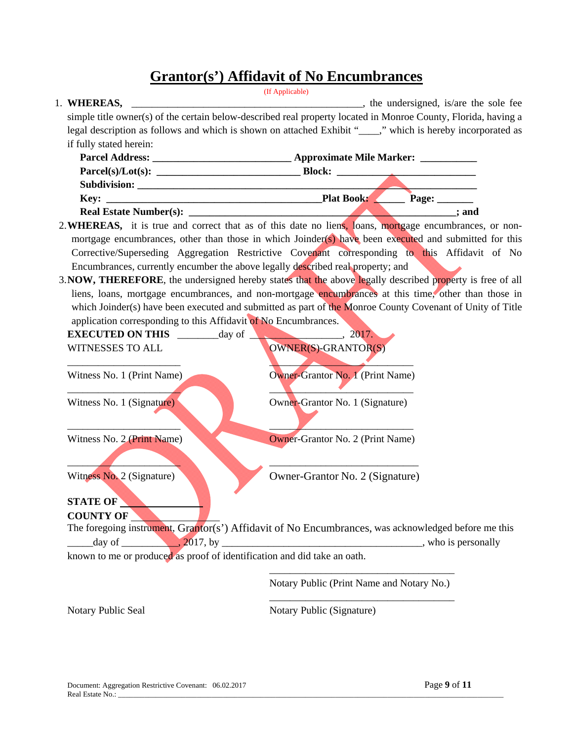# **Grantor(s') Affidavit of No Encumbrances**

|                                                                                   | (If Applicable)                                                                                                |
|-----------------------------------------------------------------------------------|----------------------------------------------------------------------------------------------------------------|
| 1. WHEREAS,                                                                       | the undersigned, is/are the sole fee                                                                           |
|                                                                                   | simple title owner(s) of the certain below-described real property located in Monroe County, Florida, having a |
|                                                                                   | legal description as follows and which is shown on attached Exhibit "____," which is hereby incorporated as    |
| if fully stated herein:                                                           |                                                                                                                |
|                                                                                   |                                                                                                                |
|                                                                                   | $Parcel(s)/Lot(s):$ Block: Block:                                                                              |
|                                                                                   |                                                                                                                |
|                                                                                   |                                                                                                                |
|                                                                                   |                                                                                                                |
|                                                                                   | 2. WHEREAS, it is true and correct that as of this date no liens, loans, mortgage encumbrances, or non-        |
|                                                                                   | mortgage encumbrances, other than those in which Joinder(s) have been executed and submitted for this          |
|                                                                                   | Corrective/Superseding Aggregation Restrictive Covenant corresponding to this Affidavit of No                  |
|                                                                                   | Encumbrances, currently encumber the above legally described real property; and                                |
|                                                                                   | 3. NOW, THEREFORE, the undersigned hereby states that the above legally described property is free of all      |
|                                                                                   | liens, loans, mortgage encumbrances, and non-mortgage encumbrances at this time, other than those in           |
|                                                                                   | which Joinder(s) have been executed and submitted as part of the Monroe County Covenant of Unity of Title      |
| application corresponding to this Affidavit of No Encumbrances.                   |                                                                                                                |
| <b>EXECUTED ON THIS</b> $\qquad \qquad \text{day of } \qquad \qquad \text{2017.}$ |                                                                                                                |
| WITNESSES TO ALL                                                                  | OWNER(S)-GRANTOR(S)                                                                                            |
|                                                                                   |                                                                                                                |
| Witness No. 1 (Print Name)                                                        | Owner-Grantor No. 1 (Print Name)                                                                               |
|                                                                                   |                                                                                                                |
| Witness No. 1 (Signature)                                                         | Owner-Grantor No. 1 (Signature)                                                                                |
|                                                                                   |                                                                                                                |
|                                                                                   |                                                                                                                |
| Witness No. 2 (Print Name)                                                        | <b>Owner-Grantor No. 2 (Print Name)</b>                                                                        |
|                                                                                   |                                                                                                                |
| Witness No. 2 (Signature)                                                         | Owner-Grantor No. 2 (Signature)                                                                                |
|                                                                                   |                                                                                                                |
| <b>STATE OF</b>                                                                   |                                                                                                                |
| <b>COUNTY OF</b>                                                                  |                                                                                                                |
|                                                                                   | The foregoing instrument, Grantor(s') Affidavit of No Encumbrances, was acknowledged before me this            |
|                                                                                   |                                                                                                                |
| known to me or produced as proof of identification and did take an oath.          |                                                                                                                |
|                                                                                   |                                                                                                                |
|                                                                                   | Notary Public (Print Name and Notary No.)                                                                      |

Notary Public Seal Notary Public (Signature)

\_\_\_\_\_\_\_\_\_\_\_\_\_\_\_\_\_\_\_\_\_\_\_\_\_\_\_\_\_\_\_\_\_\_\_\_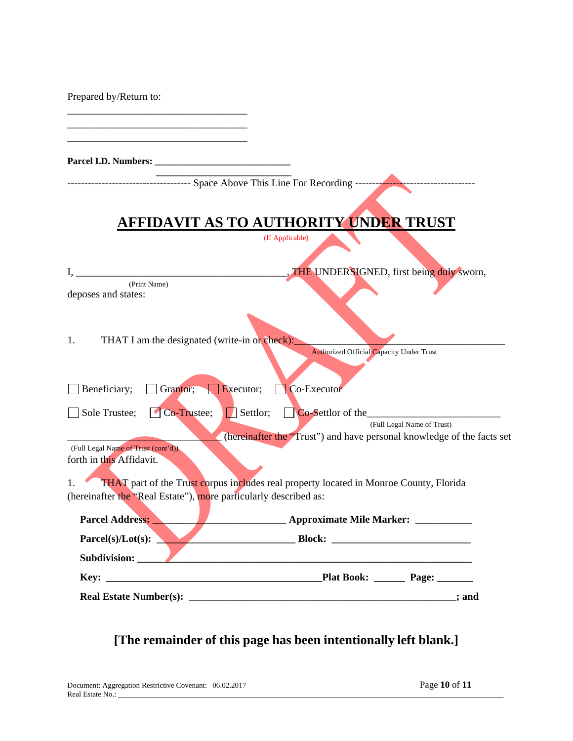| Prepared by/Return to:                                                                                                                                                                                                         |                                                                                                      |
|--------------------------------------------------------------------------------------------------------------------------------------------------------------------------------------------------------------------------------|------------------------------------------------------------------------------------------------------|
| <u> 1980 - Johann Stoff, amerikansk politiker (d. 1980)</u>                                                                                                                                                                    |                                                                                                      |
|                                                                                                                                                                                                                                |                                                                                                      |
|                                                                                                                                                                                                                                |                                                                                                      |
|                                                                                                                                                                                                                                |                                                                                                      |
|                                                                                                                                                                                                                                |                                                                                                      |
|                                                                                                                                                                                                                                | <b>AFFIDAVIT AS TO AUTHORITY UNDER TRUST</b>                                                         |
|                                                                                                                                                                                                                                | (If Applicable)                                                                                      |
|                                                                                                                                                                                                                                | , THE UNDERSIGNED, first being duly sworn,                                                           |
| (Print Name)<br>deposes and states:                                                                                                                                                                                            |                                                                                                      |
|                                                                                                                                                                                                                                |                                                                                                      |
| THAT I am the designated (write-in or check):<br>1.                                                                                                                                                                            | <b>Authorized Official Capacity Under Trust</b>                                                      |
| Beneficiary;<br>Grantor;                                                                                                                                                                                                       | Co-Executor<br>Executor;                                                                             |
| Co-Trustee;<br>Sole Trustee;                                                                                                                                                                                                   | Settlor;                                                                                             |
|                                                                                                                                                                                                                                | (Full Legal Name of Trust)<br>(hereinafter the "Trust") and have personal knowledge of the facts set |
| (Full Legal Name of Trust (cont'd))<br>forth in this Affidavit.                                                                                                                                                                |                                                                                                      |
| 1.<br>(hereinafter the "Real Estate"), more particularly described as:                                                                                                                                                         | THAT part of the Trust corpus includes real property located in Monroe County, Florida               |
| Parcel Address:                                                                                                                                                                                                                | Approximate Mile Marker: ___________                                                                 |
| Parcel(s)/Lot(s): $\_\_$                                                                                                                                                                                                       |                                                                                                      |
| Subdivision: Value of Alberta Communication of the Communication of the Communication of the Communication of the Communication of the Communication of the Communication of the Communication of the Communication of the Com |                                                                                                      |
|                                                                                                                                                                                                                                |                                                                                                      |
|                                                                                                                                                                                                                                | ; and                                                                                                |

## **[The remainder of this page has been intentionally left blank.]**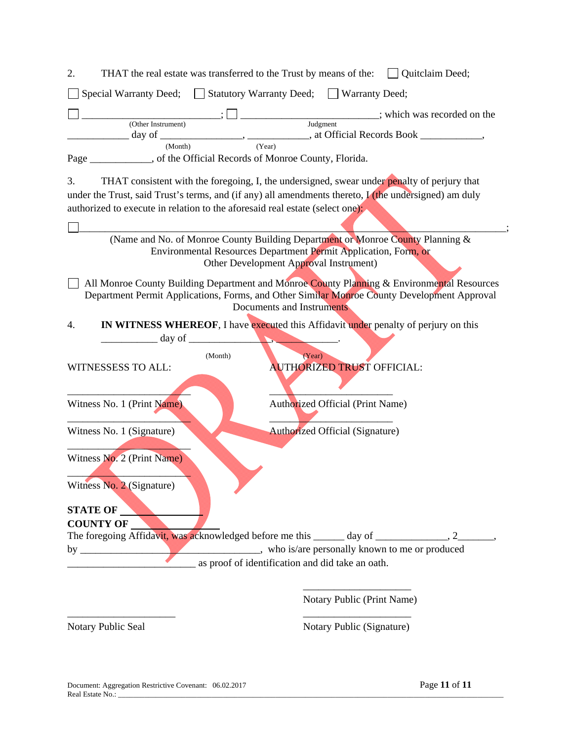| Quitclaim Deed;<br>2.<br>THAT the real estate was transferred to the Trust by means of the:                                                                                                                                                                                                  |
|----------------------------------------------------------------------------------------------------------------------------------------------------------------------------------------------------------------------------------------------------------------------------------------------|
| Special Warranty Deed; Statutory Warranty Deed; Warranty Deed;                                                                                                                                                                                                                               |
| ; which was recorded on the<br>Judgment<br>(Other Instrument)<br>day of $\_\_$<br>(Year)<br>(Month)<br>Page ____________, of the Official Records of Monroe County, Florida.                                                                                                                 |
| 3.<br>THAT consistent with the foregoing, I, the undersigned, swear under penalty of perjury that<br>under the Trust, said Trust's terms, and (if any) all amendments thereto, $I$ (the undersigned) am duly<br>authorized to execute in relation to the aforesaid real estate (select one): |
| (Name and No. of Monroe County Building Department or Monroe County Planning &<br>Environmental Resources Department Permit Application, Form, or<br>Other Development Approval Instrument)                                                                                                  |
| All Monroe County Building Department and Monroe County Planning & Environmental Resources<br>Department Permit Applications, Forms, and Other Similar Monroe County Development Approval<br>Documents and Instruments                                                                       |
| IN WITNESS WHEREOF, I have executed this Affidavit under penalty of perjury on this<br>4.<br>day of $\overline{\phantom{a}}$<br>(Year)<br>(Month)<br><b>AUTHORIZED TRUST OFFICIAL:</b><br>WITNESSESS TO ALL:                                                                                 |
| Authorized Official (Print Name)<br>Witness No. 1 (Print Name)                                                                                                                                                                                                                               |
| Witness No. 1 (Signature)<br><b>Authorized Official (Signature)</b>                                                                                                                                                                                                                          |
| Witness No. 2 (Print Name)<br>Witness No. 2 (Signature)                                                                                                                                                                                                                                      |
| <b>STATE OF</b><br><b>COUNTY OF</b>                                                                                                                                                                                                                                                          |
| who is/are personally known to me or produced<br>$by_$<br>as proof of identification and did take an oath.                                                                                                                                                                                   |
|                                                                                                                                                                                                                                                                                              |

Notary Public (Print Name)

Notary Public Seal Notary Public (Signature)

\_\_\_\_\_\_\_\_\_\_\_\_\_\_\_\_\_\_\_\_\_ \_\_\_\_\_\_\_\_\_\_\_\_\_\_\_\_\_\_\_\_\_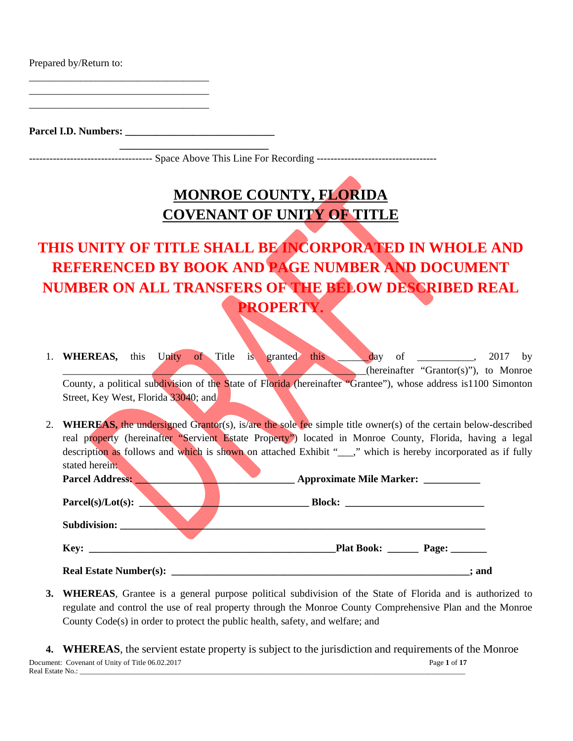Prepared by/Return to:

\_\_\_\_\_\_\_\_\_\_\_\_\_\_\_\_\_\_\_\_\_\_\_\_\_\_\_\_\_\_\_\_\_\_\_ \_\_\_\_\_\_\_\_\_\_\_\_\_\_\_\_\_\_\_\_\_\_\_\_\_\_\_\_\_\_\_\_\_\_\_ \_\_\_\_\_\_\_\_\_\_\_\_\_\_\_\_\_\_\_\_\_\_\_\_\_\_\_\_\_\_\_\_\_\_\_

 **\_\_\_\_\_\_\_\_\_\_\_\_\_\_\_\_\_\_\_\_\_\_\_\_\_\_\_\_\_** 

Parcel I.D. Numbers:

------------------------------------ Space Above This Line For Recording -----------------------------------

# **MONROE COUNTY, FLORIDA COVENANT OF UNITY OF TITLE**

# **THIS UNITY OF TITLE SHALL BE INCORPORATED IN WHOLE AND REFERENCED BY BOOK AND PAGE NUMBER AND DOCUMENT NUMBER ON ALL TRANSFERS OF THE BELOW DESCRIBED REAL PROPERTY.**

1. **WHEREAS,** this Unity of Title is granted this day of \_\_\_\_\_\_\_, 2017 by  $(hereinafter "Grantor(s)", to Monroe")$ 

County, a political subdivision of the State of Florida (hereinafter "Grantee"), whose address is1100 Simonton Street, Key West, Florida 33040; and

2. **WHEREAS,** the undersigned Grantor(s), is/are the sole fee simple title owner(s) of the certain below-described real property (hereinafter "Servient Estate Property") located in Monroe County, Florida, having a legal description as follows and which is shown on attached Exhibit "\_\_\_," which is hereby incorporated as if fully stated herein:

| <b>Parcel Address:</b>        | Approximate Mile Marker: __________ |  |  |
|-------------------------------|-------------------------------------|--|--|
| $Parcel(s)/Lot(s)$ :          |                                     |  |  |
| <b>Subdivision:</b>           |                                     |  |  |
|                               | <b>Plat Book:</b><br>Page:          |  |  |
| <b>Real Estate Number(s):</b> | and                                 |  |  |

**3. WHEREAS**, Grantee is a general purpose political subdivision of the State of Florida and is authorized to regulate and control the use of real property through the Monroe County Comprehensive Plan and the Monroe County Code(s) in order to protect the public health, safety, and welfare; and

Document: Covenant of Unity of Title 06.02.2017 Page **1** of **17** Real Estate No.: **4. WHEREAS**, the servient estate property is subject to the jurisdiction and requirements of the Monroe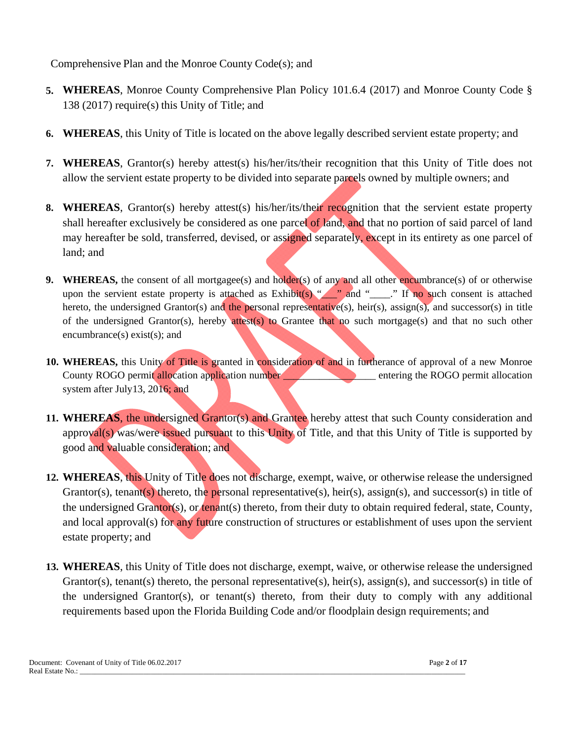Comprehensive Plan and the Monroe County Code(s); and

- **5. WHEREAS**, Monroe County Comprehensive Plan Policy 101.6.4 (2017) and Monroe County Code § 138 (2017) require(s) this Unity of Title; and
- **6. WHEREAS**, this Unity of Title is located on the above legally described servient estate property; and
- **7. WHEREAS**, Grantor(s) hereby attest(s) his/her/its/their recognition that this Unity of Title does not allow the servient estate property to be divided into separate parcels owned by multiple owners; and
- **8. WHEREAS**, Grantor(s) hereby attest(s) his/her/its/their recognition that the servient estate property shall hereafter exclusively be considered as one parcel of land, and that no portion of said parcel of land may hereafter be sold, transferred, devised, or assigned separately, except in its entirety as one parcel of land; and
- **9. WHEREAS**, the consent of all mortgagee(s) and holder(s) of any and all other encumbrance(s) of or otherwise upon the servient estate property is attached as Exhibit(s) " $\sim$ " and " $\sim$ ." If no such consent is attached hereto, the undersigned Grantor(s) and the personal representative(s), heir(s), assign(s), and successor(s) in title of the undersigned Grantor(s), hereby attest(s) to Grantee that no such mortgage(s) and that no such other encumbrance(s) exist(s); and
- **10. WHEREAS,** this Unity of Title is granted in consideration of and in furtherance of approval of a new Monroe County ROGO permit allocation application number entering the ROGO permit allocation system after July13, 2016; and
- **11. WHEREAS**, the undersigned Grantor(s) and Grantee hereby attest that such County consideration and approval(s) was/were issued pursuant to this Unity of Title, and that this Unity of Title is supported by good and valuable consideration; and
- **12. WHEREAS**, this Unity of Title does not discharge, exempt, waive, or otherwise release the undersigned Grantor(s), tenant(s) thereto, the personal representative(s), heir(s), assign(s), and successor(s) in title of the undersigned Grantor(s), or tenant(s) thereto, from their duty to obtain required federal, state, County, and local approval(s) for any future construction of structures or establishment of uses upon the servient estate property; and
- **13. WHEREAS**, this Unity of Title does not discharge, exempt, waive, or otherwise release the undersigned Grantor(s), tenant(s) thereto, the personal representative(s), heir(s), assign(s), and successor(s) in title of the undersigned Grantor(s), or tenant(s) thereto, from their duty to comply with any additional requirements based upon the Florida Building Code and/or floodplain design requirements; and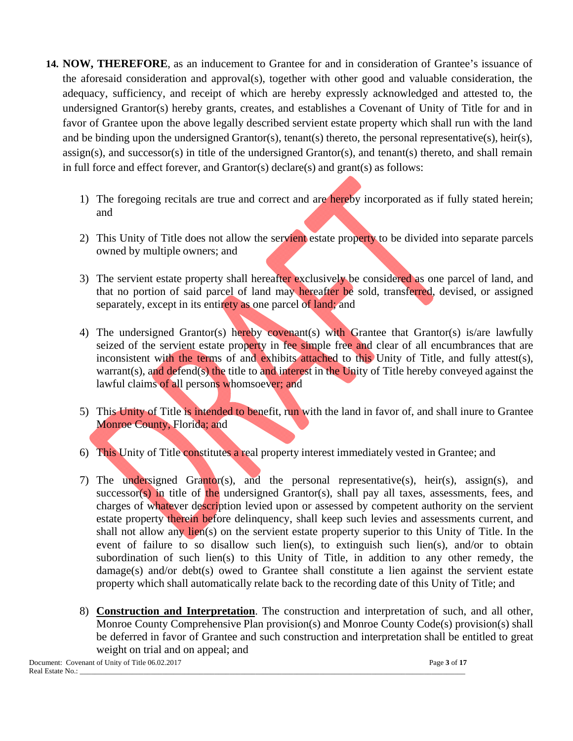- **14. NOW, THEREFORE**, as an inducement to Grantee for and in consideration of Grantee's issuance of the aforesaid consideration and approval(s), together with other good and valuable consideration, the adequacy, sufficiency, and receipt of which are hereby expressly acknowledged and attested to, the undersigned Grantor(s) hereby grants, creates, and establishes a Covenant of Unity of Title for and in favor of Grantee upon the above legally described servient estate property which shall run with the land and be binding upon the undersigned Grantor(s), tenant(s) thereto, the personal representative(s), heir(s), assign(s), and successor(s) in title of the undersigned Grantor(s), and tenant(s) thereto, and shall remain in full force and effect forever, and Grantor(s) declare(s) and grant(s) as follows:
	- 1) The foregoing recitals are true and correct and are hereby incorporated as if fully stated herein; and
	- 2) This Unity of Title does not allow the servient estate property to be divided into separate parcels owned by multiple owners; and
	- 3) The servient estate property shall hereafter exclusively be considered as one parcel of land, and that no portion of said parcel of land may hereafter be sold, transferred, devised, or assigned separately, except in its entirety as one parcel of land; and
	- 4) The undersigned Grantor(s) hereby covenant(s) with Grantee that Grantor(s) is/are lawfully seized of the servient estate property in fee simple free and clear of all encumbrances that are inconsistent with the terms of and exhibits attached to this Unity of Title, and fully attest(s), warrant(s), and defend(s) the title to and interest in the Unity of Title hereby conveyed against the lawful claims of all persons whomsoever; and
	- 5) This Unity of Title is intended to benefit, run with the land in favor of, and shall inure to Grantee Monroe County, Florida; and
	- 6) This Unity of Title constitutes a real property interest immediately vested in Grantee; and
	- 7) The undersigned Grantor(s), and the personal representative(s), heir(s), assign(s), and successor(s) in title of the undersigned Grantor(s), shall pay all taxes, assessments, fees, and charges of whatever description levied upon or assessed by competent authority on the servient estate property therein before delinquency, shall keep such levies and assessments current, and shall not allow any lien(s) on the servient estate property superior to this Unity of Title. In the event of failure to so disallow such lien(s), to extinguish such lien(s), and/or to obtain subordination of such lien(s) to this Unity of Title, in addition to any other remedy, the damage(s) and/or debt(s) owed to Grantee shall constitute a lien against the servient estate property which shall automatically relate back to the recording date of this Unity of Title; and
	- 8) **Construction and Interpretation**. The construction and interpretation of such, and all other, Monroe County Comprehensive Plan provision(s) and Monroe County Code(s) provision(s) shall be deferred in favor of Grantee and such construction and interpretation shall be entitled to great weight on trial and on appeal; and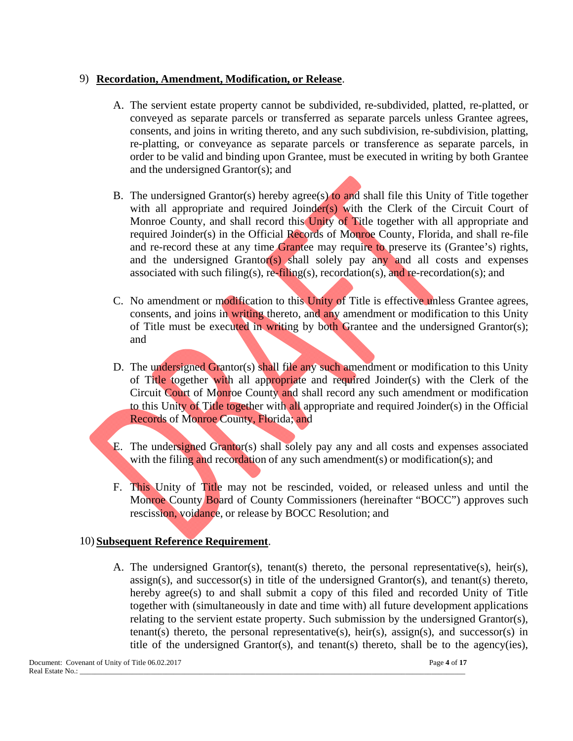#### 9) **Recordation, Amendment, Modification, or Release**.

- A. The servient estate property cannot be subdivided, re-subdivided, platted, re-platted, or conveyed as separate parcels or transferred as separate parcels unless Grantee agrees, consents, and joins in writing thereto, and any such subdivision, re-subdivision, platting, re-platting, or conveyance as separate parcels or transference as separate parcels, in order to be valid and binding upon Grantee, must be executed in writing by both Grantee and the undersigned Grantor(s); and
- B. The undersigned Grantor(s) hereby agree(s) to and shall file this Unity of Title together with all appropriate and required Joinder(s) with the Clerk of the Circuit Court of Monroe County, and shall record this Unity of Title together with all appropriate and required Joinder(s) in the Official Records of Monroe County, Florida, and shall re-file and re-record these at any time Grantee may require to preserve its (Grantee's) rights, and the undersigned Grantor(s) shall solely pay any and all costs and expenses associated with such filing(s),  $re-filing(s)$ , recordation(s), and re-recordation(s); and
- C. No amendment or modification to this Unity of Title is effective unless Grantee agrees, consents, and joins in writing thereto, and any amendment or modification to this Unity of Title must be executed in writing by both Grantee and the undersigned Grantor(s); and
- D. The undersigned Grantor(s) shall file any such amendment or modification to this Unity of Title together with all appropriate and required Joinder(s) with the Clerk of the Circuit Court of Monroe County and shall record any such amendment or modification to this Unity of Title together with all appropriate and required Joinder(s) in the Official Records of Monroe County, Florida; and
- E. The undersigned Grantor(s) shall solely pay any and all costs and expenses associated with the filing and recordation of any such amendment(s) or modification(s); and
- F. This Unity of Title may not be rescinded, voided, or released unless and until the Monroe County Board of County Commissioners (hereinafter "BOCC") approves such rescission, voidance, or release by BOCC Resolution; and

#### 10) **Subsequent Reference Requirement**.

A. The undersigned Grantor(s), tenant(s) thereto, the personal representative(s), heir(s),  $assign(s)$ , and successor(s) in title of the undersigned Grantor(s), and tenant(s) thereto, hereby agree(s) to and shall submit a copy of this filed and recorded Unity of Title together with (simultaneously in date and time with) all future development applications relating to the servient estate property. Such submission by the undersigned Grantor(s), tenant(s) thereto, the personal representative(s), heir(s), assign(s), and successor(s) in title of the undersigned Grantor(s), and tenant(s) thereto, shall be to the agency(ies),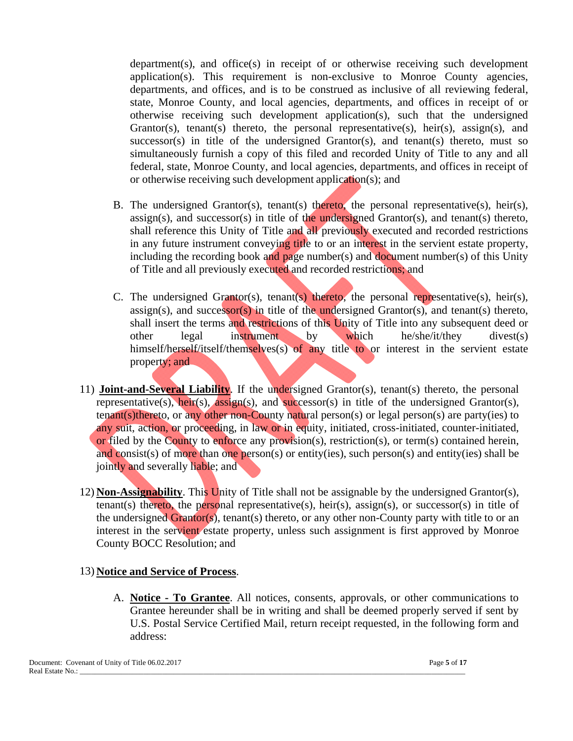$de$  department(s), and office(s) in receipt of or otherwise receiving such development application(s). This requirement is non-exclusive to Monroe County agencies, departments, and offices, and is to be construed as inclusive of all reviewing federal, state, Monroe County, and local agencies, departments, and offices in receipt of or otherwise receiving such development application(s), such that the undersigned Grantor(s), tenant(s) thereto, the personal representative(s), heir(s), assign(s), and successor(s) in title of the undersigned Grantor(s), and tenant(s) thereto, must so simultaneously furnish a copy of this filed and recorded Unity of Title to any and all federal, state, Monroe County, and local agencies, departments, and offices in receipt of or otherwise receiving such development application(s); and

- B. The undersigned Grantor(s), tenant(s) thereto, the personal representative(s), heir(s),  $assign(s)$ , and successor(s) in title of the undersigned Grantor(s), and tenant(s) thereto, shall reference this Unity of Title and all previously executed and recorded restrictions in any future instrument conveying title to or an interest in the servient estate property, including the recording book and page number(s) and document number(s) of this Unity of Title and all previously executed and recorded restrictions; and
- C. The undersigned Grantor(s), tenant(s) thereto, the personal representative(s), heir(s),  $assign(s)$ , and successor(s) in title of the undersigned Grantor(s), and tenant(s) thereto, shall insert the terms and restrictions of this Unity of Title into any subsequent deed or other legal instrument by which he/she/it/they divest(s) himself/herself/itself/themselves(s) of any title to or interest in the servient estate property; and
- 11) **Joint-and-Several Liability**. If the undersigned Grantor(s), tenant(s) thereto, the personal representative(s), heir(s), assign(s), and successor(s) in title of the undersigned Grantor(s), tenant(s)thereto, or any other non-County natural person(s) or legal person(s) are party(ies) to any suit, action, or proceeding, in law or in equity, initiated, cross-initiated, counter-initiated, or filed by the County to enforce any provision(s), restriction(s), or term(s) contained herein, and consist(s) of more than one person(s) or entity(ies), such person(s) and entity(ies) shall be jointly and severally liable; and
- 12) **Non-Assignability**. This Unity of Title shall not be assignable by the undersigned Grantor(s), tenant(s) thereto, the personal representative(s), heir(s), assign(s), or successor(s) in title of the undersigned  $Grantor(s)$ , tenant(s) thereto, or any other non-County party with title to or an interest in the servient estate property, unless such assignment is first approved by Monroe County BOCC Resolution; and

#### 13) **Notice and Service of Process**.

A. **Notice - To Grantee**. All notices, consents, approvals, or other communications to Grantee hereunder shall be in writing and shall be deemed properly served if sent by U.S. Postal Service Certified Mail, return receipt requested, in the following form and address: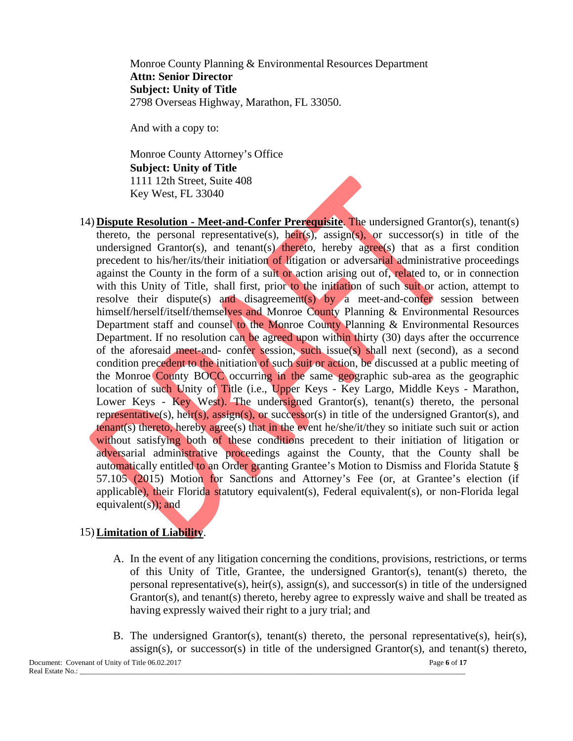Monroe County Planning & Environmental Resources Department **Attn: Senior Director Subject: Unity of Title** 2798 Overseas Highway, Marathon, FL 33050.

And with a copy to:

Monroe County Attorney's Office **Subject: Unity of Title** 1111 12th Street, Suite 408 Key West, FL 33040

14) **Dispute Resolution - Meet-and-Confer Prerequisite**. The undersigned Grantor(s), tenant(s) thereto, the personal representative(s),  $\overline{heir}(s)$ , assign(s), or successor(s) in title of the undersigned Grantor(s), and tenant(s) thereto, hereby agree(s) that as a first condition precedent to his/her/its/their initiation of litigation or adversarial administrative proceedings against the County in the form of a suit or action arising out of, related to, or in connection with this Unity of Title, shall first, prior to the initiation of such suit or action, attempt to resolve their dispute(s) and disagreement(s) by a meet-and-confer session between himself/herself/itself/themselves and Monroe County Planning & Environmental Resources Department staff and counsel to the Monroe County Planning & Environmental Resources Department. If no resolution can be agreed upon within thirty (30) days after the occurrence of the aforesaid meet-and- confer session, such issue(s) shall next (second), as a second condition precedent to the initiation of such suit or action, be discussed at a public meeting of the Monroe County BOCC occurring in the same geographic sub-area as the geographic location of such Unity of Title (i.e., Upper Keys - Key Largo, Middle Keys - Marathon, Lower Keys -  $Key$  West). The undersigned Grantor(s), tenant(s) thereto, the personal representative(s), heir(s), assign(s), or successor(s) in title of the undersigned Grantor(s), and tenant(s) thereto, hereby agree(s) that in the event he/she/it/they so initiate such suit or action without satisfying both of these conditions precedent to their initiation of litigation or adversarial administrative proceedings against the County, that the County shall be automatically entitled to an Order granting Grantee's Motion to Dismiss and Florida Statute § 57.105 (2015) Motion for Sanctions and Attorney's Fee (or, at Grantee's election (if applicable), their Florida statutory equivalent(s), Federal equivalent(s), or non-Florida legal equivalent(s)); and

#### 15) **Limitation of Liability**.

- A. In the event of any litigation concerning the conditions, provisions, restrictions, or terms of this Unity of Title, Grantee, the undersigned Grantor(s), tenant(s) thereto, the personal representative(s), heir(s), assign(s), and successor(s) in title of the undersigned Grantor(s), and tenant(s) thereto, hereby agree to expressly waive and shall be treated as having expressly waived their right to a jury trial; and
- B. The undersigned Grantor(s), tenant(s) thereto, the personal representative(s), heir(s), assign(s), or successor(s) in title of the undersigned Grantor(s), and tenant(s) thereto,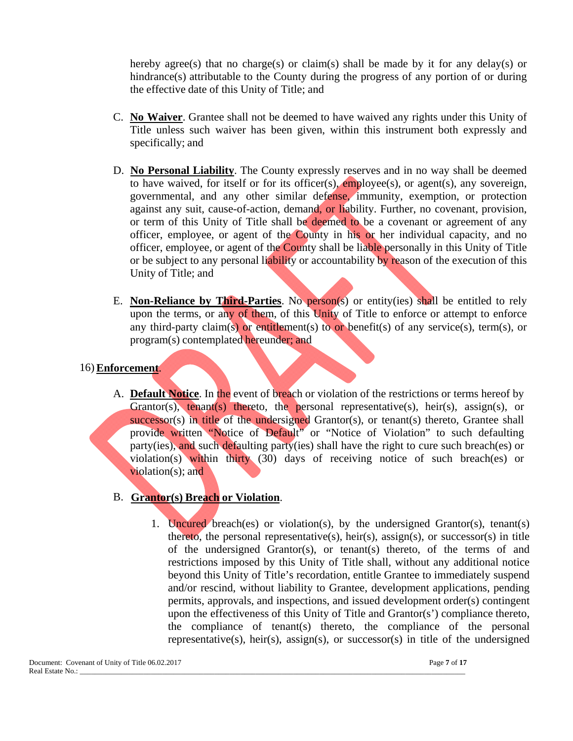hereby agree(s) that no charge(s) or claim(s) shall be made by it for any delay(s) or hindrance(s) attributable to the County during the progress of any portion of or during the effective date of this Unity of Title; and

- C. **No Waiver**. Grantee shall not be deemed to have waived any rights under this Unity of Title unless such waiver has been given, within this instrument both expressly and specifically; and
- D. **No Personal Liability**. The County expressly reserves and in no way shall be deemed to have waived, for itself or for its officer(s), employee(s), or agent(s), any sovereign, governmental, and any other similar defense, immunity, exemption, or protection against any suit, cause-of-action, demand, or liability. Further, no covenant, provision, or term of this Unity of Title shall be deemed to be a covenant or agreement of any officer, employee, or agent of the County in his or her individual capacity, and no officer, employee, or agent of the County shall be liable personally in this Unity of Title or be subject to any personal liability or accountability by reason of the execution of this Unity of Title; and
- E. **Non-Reliance by Third-Parties**. No person(s) or entity(ies) shall be entitled to rely upon the terms, or any of them, of this Unity of Title to enforce or attempt to enforce any third-party claim(s) or entitlement(s) to or benefit(s) of any service(s), term(s), or program(s) contemplated hereunder; and

#### 16) **Enforcement**.

A. **Default Notice**. In the event of breach or violation of the restrictions or terms hereof by Grantor(s), tenant(s) thereto, the personal representative(s), heir(s), assign(s), or successor(s) in title of the undersigned Grantor(s), or tenant(s) thereto, Grantee shall provide written "Notice of Default" or "Notice of Violation" to such defaulting party(ies), and such defaulting party(ies) shall have the right to cure such breach(es) or violation(s) within thirty (30) days of receiving notice of such breach(es) or violation(s); and

#### B. **Grantor(s) Breach or Violation**.

1. Uncured breach(es) or violation(s), by the undersigned Grantor(s), tenant(s) thereto, the personal representative(s), heir(s), assign(s), or successor(s) in title of the undersigned Grantor(s), or tenant(s) thereto, of the terms of and restrictions imposed by this Unity of Title shall, without any additional notice beyond this Unity of Title's recordation, entitle Grantee to immediately suspend and/or rescind, without liability to Grantee, development applications, pending permits, approvals, and inspections, and issued development order(s) contingent upon the effectiveness of this Unity of Title and Grantor(s') compliance thereto, the compliance of tenant(s) thereto, the compliance of the personal representative(s), heir(s), assign(s), or successor(s) in title of the undersigned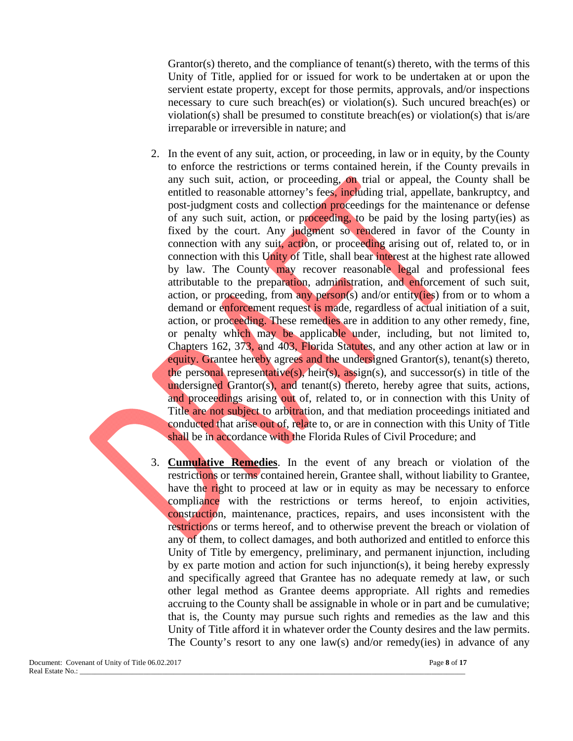Grantor(s) thereto, and the compliance of tenant(s) thereto, with the terms of this Unity of Title, applied for or issued for work to be undertaken at or upon the servient estate property, except for those permits, approvals, and/or inspections necessary to cure such breach(es) or violation(s). Such uncured breach(es) or violation(s) shall be presumed to constitute breach(es) or violation(s) that is/are irreparable or irreversible in nature; and

- 2. In the event of any suit, action, or proceeding, in law or in equity, by the County to enforce the restrictions or terms contained herein, if the County prevails in any such suit, action, or proceeding, on trial or appeal, the County shall be entitled to reasonable attorney's fees, including trial, appellate, bankruptcy, and post-judgment costs and collection proceedings for the maintenance or defense of any such suit, action, or proceeding, to be paid by the losing party(ies) as fixed by the court. Any judgment so rendered in favor of the County in connection with any suit, action, or proceeding arising out of, related to, or in connection with this Unity of Title, shall bear interest at the highest rate allowed by law. The County may recover reasonable legal and professional fees attributable to the preparation, administration, and enforcement of such suit, action, or proceeding, from any person(s) and/or entity(ies) from or to whom a demand or enforcement request is made, regardless of actual initiation of a suit, action, or proceeding. These remedies are in addition to any other remedy, fine, or penalty which may be applicable under, including, but not limited to, Chapters 162, 373, and 403, Florida Statutes, and any other action at law or in equity. Grantee hereby agrees and the undersigned Grantor(s), tenant(s) thereto, the personal representative(s), heir(s), assign(s), and successor(s) in title of the undersigned Grantor(s), and tenant(s) thereto, hereby agree that suits, actions, and proceedings arising out of, related to, or in connection with this Unity of Title are not subject to arbitration, and that mediation proceedings initiated and conducted that arise out of, relate to, or are in connection with this Unity of Title shall be in accordance with the Florida Rules of Civil Procedure; and
- 3. **Cumulative Remedies**. In the event of any breach or violation of the restrictions or terms contained herein, Grantee shall, without liability to Grantee, have the right to proceed at law or in equity as may be necessary to enforce compliance with the restrictions or terms hereof, to enjoin activities, construction, maintenance, practices, repairs, and uses inconsistent with the restrictions or terms hereof, and to otherwise prevent the breach or violation of any of them, to collect damages, and both authorized and entitled to enforce this Unity of Title by emergency, preliminary, and permanent injunction, including by ex parte motion and action for such injunction(s), it being hereby expressly and specifically agreed that Grantee has no adequate remedy at law, or such other legal method as Grantee deems appropriate. All rights and remedies accruing to the County shall be assignable in whole or in part and be cumulative; that is, the County may pursue such rights and remedies as the law and this Unity of Title afford it in whatever order the County desires and the law permits. The County's resort to any one law(s) and/or remedy(ies) in advance of any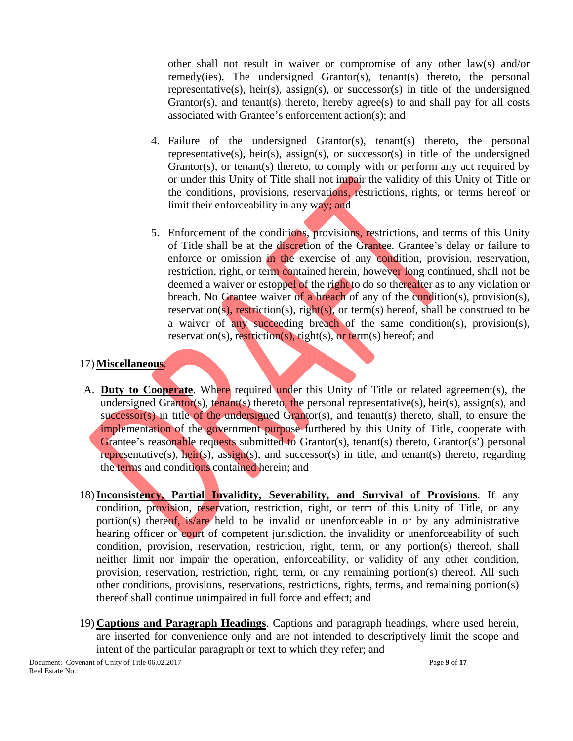other shall not result in waiver or compromise of any other law(s) and/or remedy(ies). The undersigned Grantor(s), tenant(s) thereto, the personal representative(s), heir(s), assign(s), or successor(s) in title of the undersigned Grantor(s), and tenant(s) thereto, hereby agree(s) to and shall pay for all costs associated with Grantee's enforcement action(s); and

- 4. Failure of the undersigned Grantor(s), tenant(s) thereto, the personal representative(s), heir(s), assign(s), or successor(s) in title of the undersigned Grantor(s), or tenant(s) thereto, to comply with or perform any act required by or under this Unity of Title shall not impair the validity of this Unity of Title or the conditions, provisions, reservations, restrictions, rights, or terms hereof or limit their enforceability in any way; and
- 5. Enforcement of the conditions, provisions, restrictions, and terms of this Unity of Title shall be at the discretion of the Grantee. Grantee's delay or failure to enforce or omission in the exercise of any condition, provision, reservation, restriction, right, or term contained herein, however long continued, shall not be deemed a waiver or estoppel of the right to do so thereafter as to any violation or breach. No Grantee waiver of a breach of any of the condition(s), provision(s), reservation(s), restriction(s), right(s), or term(s) hereof, shall be construed to be a waiver of any succeeding breach of the same condition(s), provision(s), reservation(s), restriction(s), right(s), or term(s) hereof; and

#### 17) **Miscellaneous**.

- A. **Duty to Cooperate**. Where required under this Unity of Title or related agreement(s), the undersigned Grantor(s), tenant(s) thereto, the personal representative(s), heir(s), assign(s), and successor(s) in title of the undersigned Grantor(s), and tenant(s) thereto, shall, to ensure the implementation of the government purpose furthered by this Unity of Title, cooperate with Grantee's reasonable requests submitted to Grantor(s), tenant(s) thereto, Grantor(s') personal representative(s), heir(s), assign(s), and successor(s) in title, and tenant(s) thereto, regarding the terms and conditions contained herein; and
- 18)**Inconsistency, Partial Invalidity, Severability, and Survival of Provisions**. If any condition, provision, reservation, restriction, right, or term of this Unity of Title, or any portion(s) thereof, is/are held to be invalid or unenforceable in or by any administrative hearing officer or court of competent jurisdiction, the invalidity or unenforceability of such condition, provision, reservation, restriction, right, term, or any portion(s) thereof, shall neither limit nor impair the operation, enforceability, or validity of any other condition, provision, reservation, restriction, right, term, or any remaining portion(s) thereof. All such other conditions, provisions, reservations, restrictions, rights, terms, and remaining portion(s) thereof shall continue unimpaired in full force and effect; and
- 19) **Captions and Paragraph Headings**. Captions and paragraph headings, where used herein, are inserted for convenience only and are not intended to descriptively limit the scope and intent of the particular paragraph or text to which they refer; and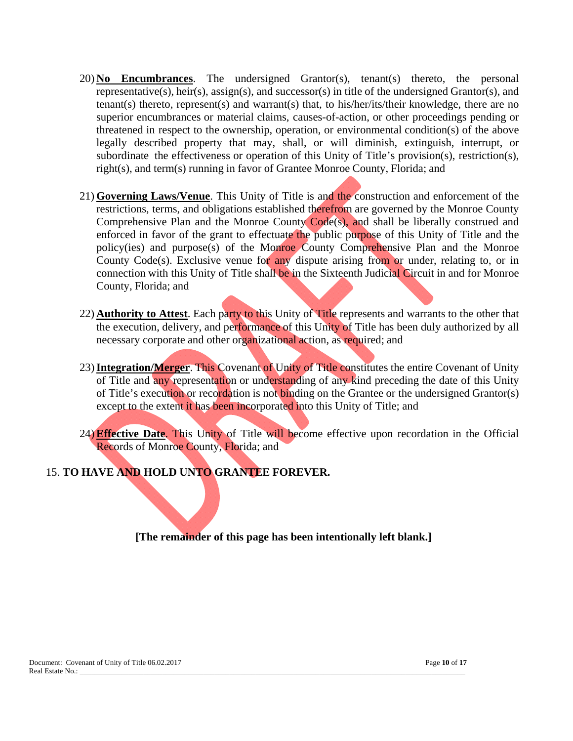- 20) **No Encumbrances**. The undersigned Grantor(s), tenant(s) thereto, the personal representative(s), heir(s), assign(s), and successor(s) in title of the undersigned Grantor(s), and tenant(s) thereto, represent(s) and warrant(s) that, to his/her/its/their knowledge, there are no superior encumbrances or material claims, causes-of-action, or other proceedings pending or threatened in respect to the ownership, operation, or environmental condition(s) of the above legally described property that may, shall, or will diminish, extinguish, interrupt, or subordinate the effectiveness or operation of this Unity of Title's provision(s), restriction(s), right(s), and term(s) running in favor of Grantee Monroe County, Florida; and
- 21) **Governing Laws/Venue**. This Unity of Title is and the construction and enforcement of the restrictions, terms, and obligations established therefrom are governed by the Monroe County Comprehensive Plan and the Monroe County Code(s), and shall be liberally construed and enforced in favor of the grant to effectuate the public purpose of this Unity of Title and the policy(ies) and purpose(s) of the Monroe County Comprehensive Plan and the Monroe County Code(s). Exclusive venue for any dispute arising from or under, relating to, or in connection with this Unity of Title shall be in the Sixteenth Judicial Circuit in and for Monroe County, Florida; and
- 22) **Authority to Attest**. Each party to this Unity of Title represents and warrants to the other that the execution, delivery, and performance of this Unity of Title has been duly authorized by all necessary corporate and other organizational action, as required; and
- 23)**Integration/Merger**. This Covenant of Unity of Title constitutes the entire Covenant of Unity of Title and any representation or understanding of any kind preceding the date of this Unity of Title's execution or recordation is not binding on the Grantee or the undersigned Grantor(s) except to the extent it has been incorporated into this Unity of Title; and
- 24) **Effective Date**. This Unity of Title will become effective upon recordation in the Official Records of Monroe County, Florida; and

### 15. **TO HAVE AND HOLD UNTO GRANTEE FOREVER.**

**[The remainder of this page has been intentionally left blank.]**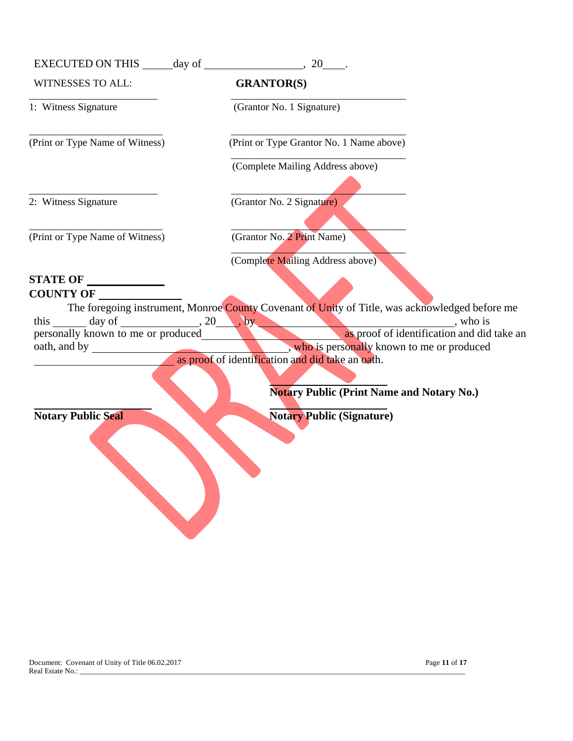| WITNESSES TO ALL:               | <b>GRANTOR(S)</b>                                                                                                                                                                                                        |
|---------------------------------|--------------------------------------------------------------------------------------------------------------------------------------------------------------------------------------------------------------------------|
| 1: Witness Signature            | (Grantor No. 1 Signature)                                                                                                                                                                                                |
| (Print or Type Name of Witness) | (Print or Type Grantor No. 1 Name above)                                                                                                                                                                                 |
|                                 | (Complete Mailing Address above)                                                                                                                                                                                         |
| 2: Witness Signature            | (Grantor No. 2 Signature)                                                                                                                                                                                                |
| (Print or Type Name of Witness) | (Grantor No. 2 Print Name)                                                                                                                                                                                               |
|                                 | (Complete Mailing Address above)                                                                                                                                                                                         |
| <b>COUNTY OF __</b>             | The foregoing instrument, Monroe County Covenant of Unity of Title, was acknowledged before me<br>this day of dentification and did take an earth, and by <u>as proof</u> of identification and did take an oath, and by |
|                                 | as proof of identification and did take an oath.<br><b>Notary Public (Print Name and Notary No.)</b>                                                                                                                     |
| <b>Notary Public Seal</b>       | <b>Notary Public (Signature)</b>                                                                                                                                                                                         |
|                                 |                                                                                                                                                                                                                          |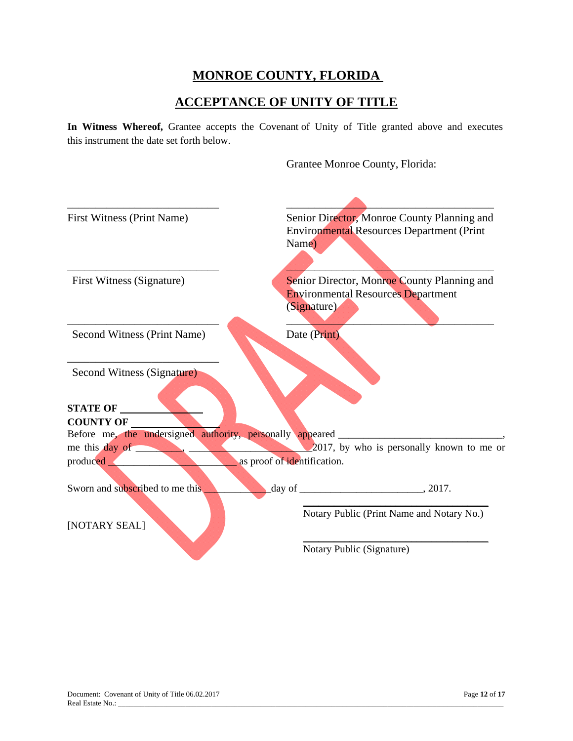### **MONROE COUNTY, FLORIDA**

### **ACCEPTANCE OF UNITY OF TITLE**

**In Witness Whereof,** Grantee accepts the Covenant of Unity of Title granted above and executes this instrument the date set forth below.

Grantee Monroe County, Florida:

| <b>First Witness (Print Name)</b> | Senior Director, Monroe County Planning and                                       |
|-----------------------------------|-----------------------------------------------------------------------------------|
|                                   | <b>Environmental Resources Department (Print</b>                                  |
|                                   | Name)                                                                             |
|                                   |                                                                                   |
| First Witness (Signature)         | Senior Director, Monroe County Planning and                                       |
|                                   | <b>Environmental Resources Department</b>                                         |
|                                   | (Signature)                                                                       |
| Second Witness (Print Name)       | Date (Print)                                                                      |
|                                   |                                                                                   |
| Second Witness (Signature)        |                                                                                   |
|                                   |                                                                                   |
| <b>STATE OF</b>                   |                                                                                   |
| <b>COUNTY OF</b>                  |                                                                                   |
|                                   | Before me, the undersigned authority, personally appeared _______________________ |
|                                   | me this day of 2017, by who is personally known to me or                          |
| produced                          | as proof of identification.                                                       |
| Sworn and subscribed to me this   | $\frac{\text{day of}}{\text{day of}}$ , 2017.                                     |
|                                   |                                                                                   |
| [NOTARY SEAL]                     | Notary Public (Print Name and Notary No.)                                         |
|                                   | Notary Public (Signature)                                                         |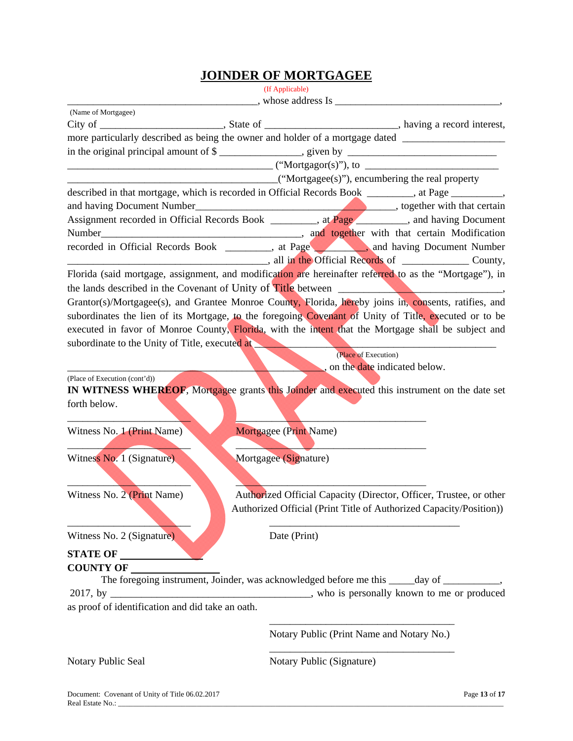## **JOINDER OF MORTGAGEE**

(If Applicable)

|                                                                     | $\blacksquare$ , whose address Is $\blacksquare$                                                                                                                                                               |
|---------------------------------------------------------------------|----------------------------------------------------------------------------------------------------------------------------------------------------------------------------------------------------------------|
| (Name of Mortgagee)                                                 |                                                                                                                                                                                                                |
|                                                                     | more particularly described as being the owner and holder of a mortgage dated _____________________                                                                                                            |
|                                                                     |                                                                                                                                                                                                                |
|                                                                     | in the original principal amount of \$                                                                                                                                                                         |
|                                                                     |                                                                                                                                                                                                                |
|                                                                     | described in that mortgage, which is recorded in Official Records Book _______, at Page ________,                                                                                                              |
|                                                                     |                                                                                                                                                                                                                |
|                                                                     | Assignment recorded in Official Records Book _________, at Page ________, and having Document                                                                                                                  |
|                                                                     |                                                                                                                                                                                                                |
|                                                                     | recorded in Official Records Book ________, at Page ______, and having Document Number                                                                                                                         |
|                                                                     |                                                                                                                                                                                                                |
|                                                                     | Florida (said mortgage, assignment, and modification are hereinafter referred to as the "Mortgage"), in                                                                                                        |
|                                                                     |                                                                                                                                                                                                                |
|                                                                     |                                                                                                                                                                                                                |
|                                                                     | Grantor(s)/Mortgagee(s), and Grantee Monroe County, Florida, hereby joins in, consents, ratifies, and<br>subordinates the lien of its Mortgage, to the foregoing Covenant of Unity of Title, executed or to be |
|                                                                     |                                                                                                                                                                                                                |
|                                                                     | executed in favor of Monroe County, Florida, with the intent that the Mortgage shall be subject and                                                                                                            |
| subordinate to the Unity of Title, executed at                      | (Place of Execution)                                                                                                                                                                                           |
|                                                                     | on the date indicated below.                                                                                                                                                                                   |
| (Place of Execution (cont'd))<br>forth below.                       | IN WITNESS WHEREOF, Mortgagee grants this Joinder and executed this instrument on the date set                                                                                                                 |
| Witness No. 1 (Print Name)                                          | Mortgagee (Print Name)                                                                                                                                                                                         |
| Witness No. 1 (Signature)                                           | Mortgagee (Signature)                                                                                                                                                                                          |
| Witness No. 2 (Print Name)                                          | Authorized Official Capacity (Director, Officer, Trustee, or other                                                                                                                                             |
|                                                                     | Authorized Official (Print Title of Authorized Capacity/Position))                                                                                                                                             |
| Witness No. 2 (Signature)                                           | Date (Print)                                                                                                                                                                                                   |
| STATE OF                                                            |                                                                                                                                                                                                                |
| <b>COUNTY OF</b>                                                    |                                                                                                                                                                                                                |
|                                                                     | The foregoing instrument, Joinder, was acknowledged before me this _____day of _________,                                                                                                                      |
|                                                                     |                                                                                                                                                                                                                |
| as proof of identification and did take an oath.                    |                                                                                                                                                                                                                |
|                                                                     | Notary Public (Print Name and Notary No.)                                                                                                                                                                      |
| Notary Public Seal                                                  | Notary Public (Signature)                                                                                                                                                                                      |
| Document: Covenant of Unity of Title 06.02.2017<br>Real Estate No.: | Page 13 of 17                                                                                                                                                                                                  |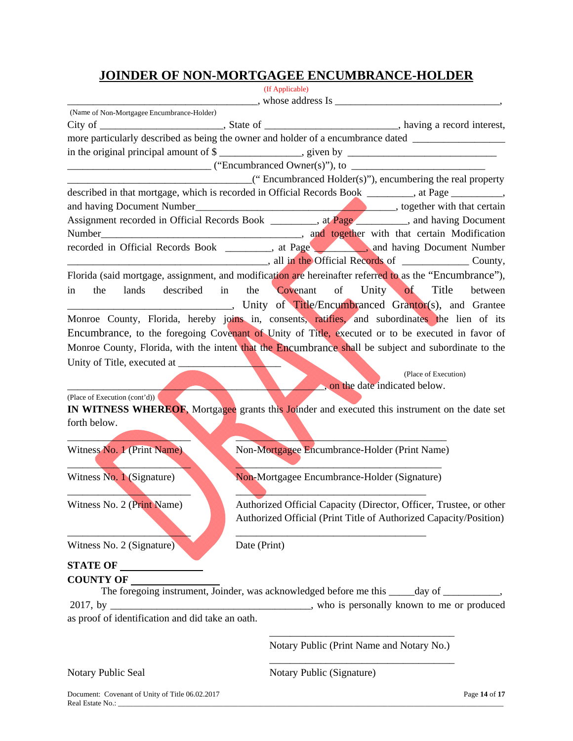### **JOINDER OF NON-MORTGAGEE ENCUMBRANCE-HOLDER**

|                                                  | (If Applicable) |                                                                                                                                                                                            |
|--------------------------------------------------|-----------------|--------------------------------------------------------------------------------------------------------------------------------------------------------------------------------------------|
| (Name of Non-Mortgagee Encumbrance-Holder)       |                 |                                                                                                                                                                                            |
|                                                  |                 |                                                                                                                                                                                            |
|                                                  |                 | more particularly described as being the owner and holder of a encumbrance dated __________________                                                                                        |
|                                                  |                 |                                                                                                                                                                                            |
|                                                  |                 | $\frac{1}{1}$ ("Encumbranced Owner(s)"), to $\frac{1}{1}$                                                                                                                                  |
|                                                  |                 | ("Encumbranced Holder(s)"), encumbering the real property<br>described in that mortgage, which is recorded in Official Records Book _______, at Page _______,                              |
|                                                  |                 |                                                                                                                                                                                            |
|                                                  |                 | Assignment recorded in Official Records Book _________, at Page ________, and having Document                                                                                              |
|                                                  |                 |                                                                                                                                                                                            |
|                                                  |                 | recorded in Official Records Book ________, at Page _______, and having Document Number<br><u>_________________________________</u> , all in the Official Records of _____________ County, |
|                                                  |                 | Florida (said mortgage, assignment, and modification are hereinafter referred to as the "Encumbrance"),                                                                                    |
| lands<br>the                                     |                 | described in the Covenant of Unity of Title between                                                                                                                                        |
| in                                               |                 |                                                                                                                                                                                            |
|                                                  |                 | [2012] Unity of Title/Encumbranced Grantor(s), and Grantee                                                                                                                                 |
|                                                  |                 | Monroe County, Florida, hereby joins in, consents, ratifies, and subordinates the lien of its                                                                                              |
|                                                  |                 | Encumbrance, to the foregoing Covenant of Unity of Title, executed or to be executed in favor of                                                                                           |
|                                                  |                 | Monroe County, Florida, with the intent that the Encumbrance shall be subject and subordinate to the                                                                                       |
|                                                  |                 |                                                                                                                                                                                            |
|                                                  |                 | (Place of Execution)<br>on the date indicated below.                                                                                                                                       |
| (Place of Execution (cont'd))                    |                 |                                                                                                                                                                                            |
|                                                  |                 | <b>IN WITNESS WHEREOF</b> , Mortgagee grants this Joinder and executed this instrument on the date set                                                                                     |
| forth below.                                     |                 |                                                                                                                                                                                            |
|                                                  |                 |                                                                                                                                                                                            |
| Witness No. 1 (Print Name)                       |                 | Non-Mortgagee Encumbrance-Holder (Print Name)                                                                                                                                              |
| Witness No. 1 (Signature)                        |                 | Non-Mortgagee Encumbrance-Holder (Signature)                                                                                                                                               |
| Witness No. 2 (Print Name)                       |                 | Authorized Official Capacity (Director, Officer, Trustee, or other                                                                                                                         |
|                                                  |                 | Authorized Official (Print Title of Authorized Capacity/Position)                                                                                                                          |
|                                                  |                 |                                                                                                                                                                                            |
| Witness No. 2 (Signature)                        | Date (Print)    |                                                                                                                                                                                            |
| STATE OF                                         |                 |                                                                                                                                                                                            |
| <b>COUNTY OF</b>                                 |                 |                                                                                                                                                                                            |
|                                                  |                 | The foregoing instrument, Joinder, was acknowledged before me this _____day of __________,                                                                                                 |
|                                                  |                 |                                                                                                                                                                                            |
| as proof of identification and did take an oath. |                 |                                                                                                                                                                                            |
|                                                  |                 | Notary Public (Print Name and Notary No.)                                                                                                                                                  |
|                                                  |                 |                                                                                                                                                                                            |

Notary Public Seal Notary Public (Signature)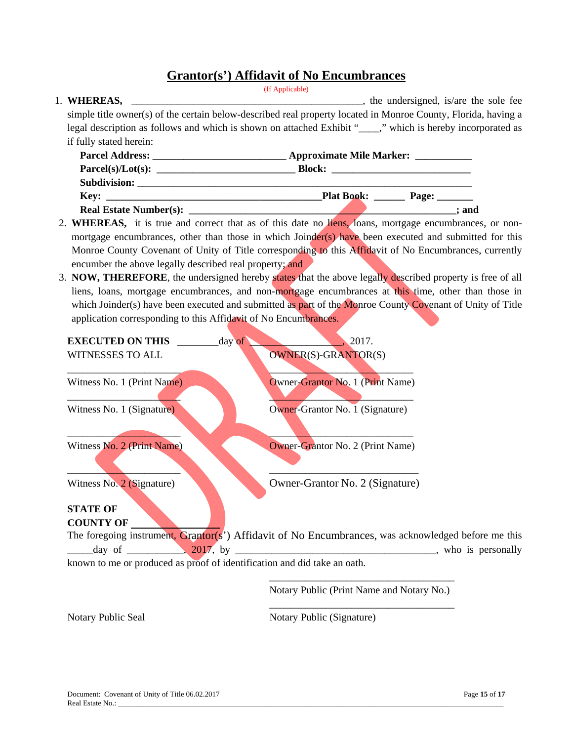#### **Grantor(s') Affidavit of No Encumbrances**

#### (If Applicable) 1. **WHEREAS,** the undersigned, is/are the sole fee simple title owner(s) of the certain below-described real property located in Monroe County, Florida, having a legal description as follows and which is shown on attached Exhibit "\_\_\_\_," which is hereby incorporated as if fully stated herein: **Parcel Address: \_\_\_\_\_\_\_\_\_\_\_\_\_\_\_\_\_\_\_\_\_\_\_\_\_\_ Approximate Mile Marker: \_\_\_\_\_\_\_\_\_\_\_ Parcel(s)/Lot(s): \_\_\_\_\_\_\_\_\_\_\_\_\_\_\_\_\_\_\_\_\_\_\_\_\_\_\_ Block: \_\_\_\_\_\_\_\_\_\_\_\_\_\_\_\_\_\_\_\_\_\_\_\_\_\_\_ Subdivision: \_\_\_\_\_\_\_\_\_\_\_\_\_\_\_\_\_\_\_\_\_\_\_\_\_\_\_\_\_\_\_\_\_\_\_\_\_\_\_\_\_\_\_\_\_\_\_\_\_\_\_\_\_\_\_\_\_\_\_\_\_\_\_\_\_ Key: Key: Plat Book: Plat Book: Page:**  $\blacksquare$ **Real Estate Number(s): \_\_\_\_\_\_\_\_\_\_\_\_\_\_\_\_\_\_\_\_\_\_\_\_\_\_\_\_\_\_\_\_\_\_\_\_\_\_\_\_\_\_\_\_\_\_\_\_\_\_\_\_; and**  2. **WHEREAS,** it is true and correct that as of this date no liens, loans, mortgage encumbrances, or nonmortgage encumbrances, other than those in which Joinder(s) have been executed and submitted for this Monroe County Covenant of Unity of Title corresponding to this Affidavit of No Encumbrances, currently encumber the above legally described real property; and 3. **NOW, THEREFORE**, the undersigned hereby states that the above legally described property is free of all liens, loans, mortgage encumbrances, and non-mortgage encumbrances at this time, other than those in which Joinder(s) have been executed and submitted as part of the Monroe County Covenant of Unity of Title application corresponding to this Affidavit of No Encumbrances. **EXECUTED ON THIS**  $\frac{1}{2017}$



known to me or produced as proof of identification and did take an oath.

\_\_\_\_\_\_\_\_\_\_\_\_\_\_\_\_\_\_\_\_\_\_\_\_\_\_\_\_\_\_\_\_\_\_\_\_ Notary Public (Print Name and Notary No.) \_\_\_\_\_\_\_\_\_\_\_\_\_\_\_\_\_\_\_\_\_\_\_\_\_\_\_\_\_\_\_\_\_\_\_\_

Notary Public Seal Notary Public (Signature)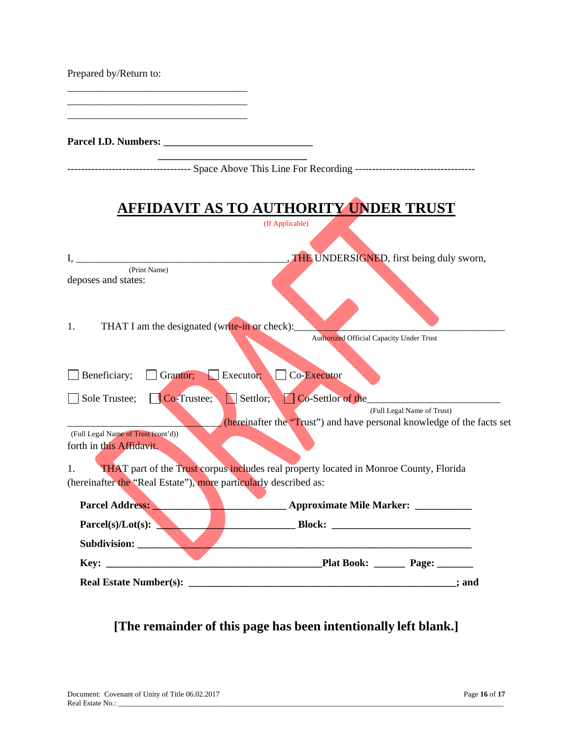| Prepared by/Return to:                                                 |                                                                                        |
|------------------------------------------------------------------------|----------------------------------------------------------------------------------------|
|                                                                        |                                                                                        |
|                                                                        |                                                                                        |
|                                                                        |                                                                                        |
|                                                                        |                                                                                        |
|                                                                        | <b>AFFIDAVIT AS TO AUTHORITY UNDER TRUST</b>                                           |
|                                                                        | (If Applicable)                                                                        |
|                                                                        |                                                                                        |
|                                                                        | , THE UNDERSIGNED, first being duly sworn,                                             |
| (Print Name)<br>deposes and states:                                    |                                                                                        |
|                                                                        |                                                                                        |
|                                                                        |                                                                                        |
| THAT I am the designated (write-in or check):<br>1.                    |                                                                                        |
|                                                                        | Authorized Official Capacity Under Trust                                               |
|                                                                        |                                                                                        |
|                                                                        |                                                                                        |
| Beneficiary;<br>Grantor;                                               | Executor;<br><b>Co-Executor</b>                                                        |
| Co-Trustee;<br>Sole Trustee;                                           | Settlor;<br>Co-Settlor of the____<br><b>T</b>                                          |
|                                                                        | (Full Legal Name of Trust)                                                             |
| (Full Legal Name of Trust (cont'd))                                    | (hereinafter the "Trust") and have personal knowledge of the facts set                 |
| forth in this Affidavit.                                               |                                                                                        |
|                                                                        |                                                                                        |
| 1.<br>(hereinafter the "Real Estate"), more particularly described as: | THAT part of the Trust corpus includes real property located in Monroe County, Florida |
|                                                                        |                                                                                        |
| Parcel Address:                                                        | <b>EXAMPLE Approximate Mile Marker:</b>                                                |
| Parcel(s)/Lot(s):                                                      |                                                                                        |
|                                                                        | <u> 1989 - Johann Stein, fransk politik (* 1958)</u>                                   |
|                                                                        |                                                                                        |
|                                                                        |                                                                                        |
|                                                                        |                                                                                        |

# **[The remainder of this page has been intentionally left blank.]**